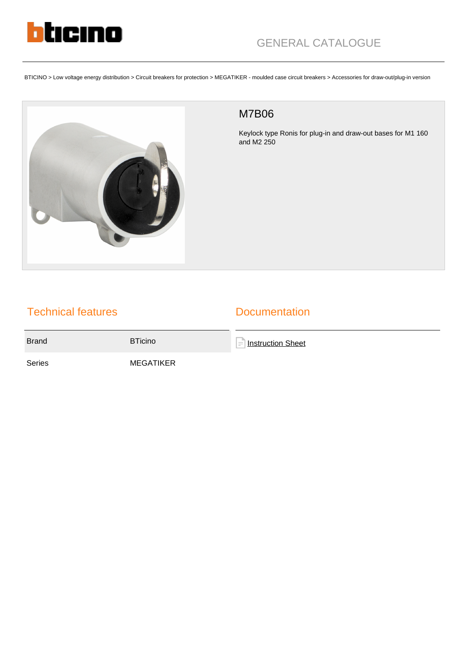

BTICINO > Low voltage energy distribution > Circuit breakers for protection > MEGATIKER - moulded case circuit breakers > Accessories for draw-out/plug-in version



## M7B06

Keylock type Ronis for plug-in and draw-out bases for M1 160 and M2 250

## Technical features

## **Documentation**

Brand BTicino

**[Instruction Sheet](https://catalogue.bticino.com/app/webroot/low_res/489994_509546_LE04289AA.pdf)** 

Series MEGATIKER